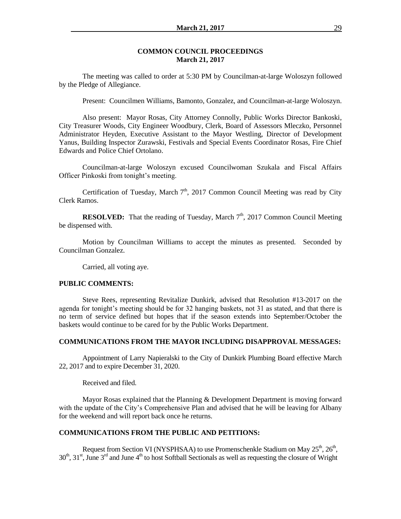#### **COMMON COUNCIL PROCEEDINGS March 21, 2017**

The meeting was called to order at 5:30 PM by Councilman-at-large Woloszyn followed by the Pledge of Allegiance.

Present: Councilmen Williams, Bamonto, Gonzalez, and Councilman-at-large Woloszyn.

Also present: Mayor Rosas, City Attorney Connolly, Public Works Director Bankoski, City Treasurer Woods, City Engineer Woodbury, Clerk, Board of Assessors Mleczko, Personnel Administrator Heyden, Executive Assistant to the Mayor Westling, Director of Development Yanus, Building Inspector Zurawski, Festivals and Special Events Coordinator Rosas, Fire Chief Edwards and Police Chief Ortolano.

Councilman-at-large Woloszyn excused Councilwoman Szukala and Fiscal Affairs Officer Pinkoski from tonight's meeting.

Certification of Tuesday, March  $7<sup>th</sup>$ , 2017 Common Council Meeting was read by City Clerk Ramos.

**RESOLVED:** That the reading of Tuesday, March  $7<sup>th</sup>$ , 2017 Common Council Meeting be dispensed with.

Motion by Councilman Williams to accept the minutes as presented. Seconded by Councilman Gonzalez.

Carried, all voting aye.

#### **PUBLIC COMMENTS:**

Steve Rees, representing Revitalize Dunkirk, advised that Resolution #13-2017 on the agenda for tonight's meeting should be for 32 hanging baskets, not 31 as stated, and that there is no term of service defined but hopes that if the season extends into September/October the baskets would continue to be cared for by the Public Works Department.

### **COMMUNICATIONS FROM THE MAYOR INCLUDING DISAPPROVAL MESSAGES:**

Appointment of Larry Napieralski to the City of Dunkirk Plumbing Board effective March 22, 2017 and to expire December 31, 2020.

Received and filed.

Mayor Rosas explained that the Planning & Development Department is moving forward with the update of the City's Comprehensive Plan and advised that he will be leaving for Albany for the weekend and will report back once he returns.

### **COMMUNICATIONS FROM THE PUBLIC AND PETITIONS:**

Request from Section VI (NYSPHSAA) to use Promenschenkle Stadium on May  $25<sup>th</sup>$ ,  $26<sup>th</sup>$ ,  $30<sup>th</sup>$ ,  $31<sup>st</sup>$ , June  $3<sup>rd</sup>$  and June  $4<sup>th</sup>$  to host Softball Sectionals as well as requesting the closure of Wright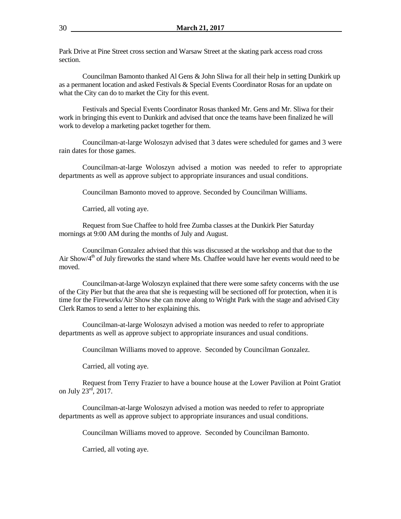Park Drive at Pine Street cross section and Warsaw Street at the skating park access road cross section.

Councilman Bamonto thanked Al Gens & John Sliwa for all their help in setting Dunkirk up as a permanent location and asked Festivals & Special Events Coordinator Rosas for an update on what the City can do to market the City for this event.

Festivals and Special Events Coordinator Rosas thanked Mr. Gens and Mr. Sliwa for their work in bringing this event to Dunkirk and advised that once the teams have been finalized he will work to develop a marketing packet together for them.

Councilman-at-large Woloszyn advised that 3 dates were scheduled for games and 3 were rain dates for those games.

Councilman-at-large Woloszyn advised a motion was needed to refer to appropriate departments as well as approve subject to appropriate insurances and usual conditions.

Councilman Bamonto moved to approve. Seconded by Councilman Williams.

Carried, all voting aye.

Request from Sue Chaffee to hold free Zumba classes at the Dunkirk Pier Saturday mornings at 9:00 AM during the months of July and August.

Councilman Gonzalez advised that this was discussed at the workshop and that due to the Air Show/ $4<sup>th</sup>$  of July fireworks the stand where Ms. Chaffee would have her events would need to be moved.

Councilman-at-large Woloszyn explained that there were some safety concerns with the use of the City Pier but that the area that she is requesting will be sectioned off for protection, when it is time for the Fireworks/Air Show she can move along to Wright Park with the stage and advised City Clerk Ramos to send a letter to her explaining this.

Councilman-at-large Woloszyn advised a motion was needed to refer to appropriate departments as well as approve subject to appropriate insurances and usual conditions.

Councilman Williams moved to approve. Seconded by Councilman Gonzalez.

Carried, all voting aye.

Request from Terry Frazier to have a bounce house at the Lower Pavilion at Point Gratiot on July  $23<sup>rd</sup>$ , 2017.

Councilman-at-large Woloszyn advised a motion was needed to refer to appropriate departments as well as approve subject to appropriate insurances and usual conditions.

Councilman Williams moved to approve. Seconded by Councilman Bamonto.

Carried, all voting aye.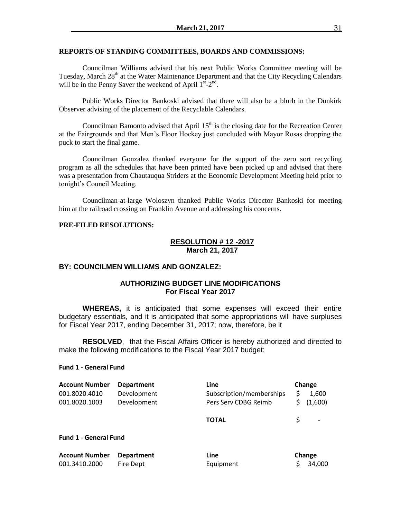#### **REPORTS OF STANDING COMMITTEES, BOARDS AND COMMISSIONS:**

Councilman Williams advised that his next Public Works Committee meeting will be Tuesday, March 28<sup>th</sup> at the Water Maintenance Department and that the City Recycling Calendars will be in the Penny Saver the weekend of April  $1^{s^2}-2^{nd}$ .

Public Works Director Bankoski advised that there will also be a blurb in the Dunkirk Observer advising of the placement of the Recyclable Calendars.

Councilman Bamonto advised that April  $15<sup>th</sup>$  is the closing date for the Recreation Center at the Fairgrounds and that Men's Floor Hockey just concluded with Mayor Rosas dropping the puck to start the final game.

Councilman Gonzalez thanked everyone for the support of the zero sort recycling program as all the schedules that have been printed have been picked up and advised that there was a presentation from Chautauqua Striders at the Economic Development Meeting held prior to tonight's Council Meeting.

Councilman-at-large Woloszyn thanked Public Works Director Bankoski for meeting him at the railroad crossing on Franklin Avenue and addressing his concerns.

#### **PRE-FILED RESOLUTIONS:**

### **RESOLUTION # 12 -2017 March 21, 2017**

### **BY: COUNCILMEN WILLIAMS AND GONZALEZ:**

## **AUTHORIZING BUDGET LINE MODIFICATIONS For Fiscal Year 2017**

**WHEREAS,** it is anticipated that some expenses will exceed their entire budgetary essentials, and it is anticipated that some appropriations will have surpluses for Fiscal Year 2017, ending December 31, 2017; now, therefore, be it

**RESOLVED**, that the Fiscal Affairs Officer is hereby authorized and directed to make the following modifications to the Fiscal Year 2017 budget:

#### **Fund 1 - General Fund**

| <b>Account Number</b>        | <b>Department</b> | Line                     | Change |         |
|------------------------------|-------------------|--------------------------|--------|---------|
| 001.8020.4010                | Development       | Subscription/memberships |        | 1,600   |
| 001.8020.1003                | Development       | Pers Serv CDBG Reimb     |        | (1,600) |
|                              |                   | <b>TOTAL</b>             |        |         |
| <b>Fund 1 - General Fund</b> |                   |                          |        |         |

| <b>Account Number</b> Department |           | Line      | <b>Change</b> |
|----------------------------------|-----------|-----------|---------------|
| 001.3410.2000                    | Fire Dept | Equipment | \$34,000      |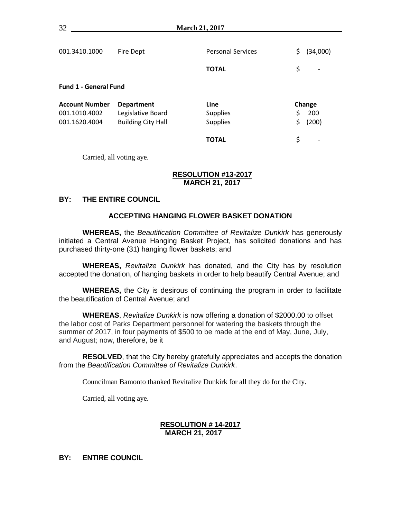| 001.3410.1000                | Fire Dept                 | <b>Personal Services</b> | \$<br>(34,000) |
|------------------------------|---------------------------|--------------------------|----------------|
|                              |                           | <b>TOTAL</b>             | \$             |
| <b>Fund 1 - General Fund</b> |                           |                          |                |
| <b>Account Number</b>        | <b>Department</b>         | Line                     | Change         |
| 001.1010.4002                | Legislative Board         | <b>Supplies</b>          | \$<br>200      |
| 001.1620.4004                | <b>Building City Hall</b> | <b>Supplies</b>          | \$<br>(200)    |
|                              |                           | <b>TOTAL</b>             | \$             |

Carried, all voting aye.

## **RESOLUTION #13-2017 MARCH 21, 2017**

# **BY: THE ENTIRE COUNCIL**

## **ACCEPTING HANGING FLOWER BASKET DONATION**

**WHEREAS,** the *Beautification Committee of Revitalize Dunkirk* has generously initiated a Central Avenue Hanging Basket Project, has solicited donations and has purchased thirty-one (31) hanging flower baskets; and

**WHEREAS,** *Revitalize Dunkirk* has donated, and the City has by resolution accepted the donation, of hanging baskets in order to help beautify Central Avenue; and

**WHEREAS,** the City is desirous of continuing the program in order to facilitate the beautification of Central Avenue; and

**WHEREAS**, *Revitalize Dunkirk* is now offering a donation of \$2000.00 to offset the labor cost of Parks Department personnel for watering the baskets through the summer of 2017, in four payments of \$500 to be made at the end of May, June, July, and August; now, therefore, be it

**RESOLVED**, that the City hereby gratefully appreciates and accepts the donation from the *Beautification Committee of Revitalize Dunkirk*.

Councilman Bamonto thanked Revitalize Dunkirk for all they do for the City.

Carried, all voting aye.

# **RESOLUTION # 14-2017 MARCH 21, 2017**

**BY: ENTIRE COUNCIL**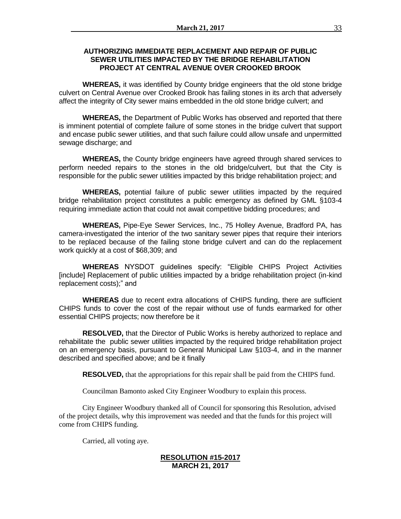# **AUTHORIZING IMMEDIATE REPLACEMENT AND REPAIR OF PUBLIC SEWER UTILITIES IMPACTED BY THE BRIDGE REHABILITATION PROJECT AT CENTRAL AVENUE OVER CROOKED BROOK**

**WHEREAS,** it was identified by County bridge engineers that the old stone bridge culvert on Central Avenue over Crooked Brook has failing stones in its arch that adversely affect the integrity of City sewer mains embedded in the old stone bridge culvert; and

**WHEREAS,** the Department of Public Works has observed and reported that there is imminent potential of complete failure of some stones in the bridge culvert that support and encase public sewer utilities, and that such failure could allow unsafe and unpermitted sewage discharge; and

**WHEREAS,** the County bridge engineers have agreed through shared services to perform needed repairs to the stones in the old bridge/culvert, but that the City is responsible for the public sewer utilities impacted by this bridge rehabilitation project; and

**WHEREAS,** potential failure of public sewer utilities impacted by the required bridge rehabilitation project constitutes a public emergency as defined by GML §103-4 requiring immediate action that could not await competitive bidding procedures; and

**WHEREAS,** Pipe-Eye Sewer Services, Inc., 75 Holley Avenue, Bradford PA, has camera-investigated the interior of the two sanitary sewer pipes that require their interiors to be replaced because of the failing stone bridge culvert and can do the replacement work quickly at a cost of \$68,309; and

**WHEREAS** NYSDOT guidelines specify: "Eligible CHIPS Project Activities [include] Replacement of public utilities impacted by a bridge rehabilitation project (in-kind replacement costs);" and

**WHEREAS** due to recent extra allocations of CHIPS funding, there are sufficient CHIPS funds to cover the cost of the repair without use of funds earmarked for other essential CHIPS projects; now therefore be it

**RESOLVED,** that the Director of Public Works is hereby authorized to replace and rehabilitate the public sewer utilities impacted by the required bridge rehabilitation project on an emergency basis, pursuant to General Municipal Law §103-4, and in the manner described and specified above; and be it finally

**RESOLVED,** that the appropriations for this repair shall be paid from the CHIPS fund.

Councilman Bamonto asked City Engineer Woodbury to explain this process.

City Engineer Woodbury thanked all of Council for sponsoring this Resolution, advised of the project details, why this improvement was needed and that the funds for this project will come from CHIPS funding.

Carried, all voting aye.

# **RESOLUTION #15-2017 MARCH 21, 2017**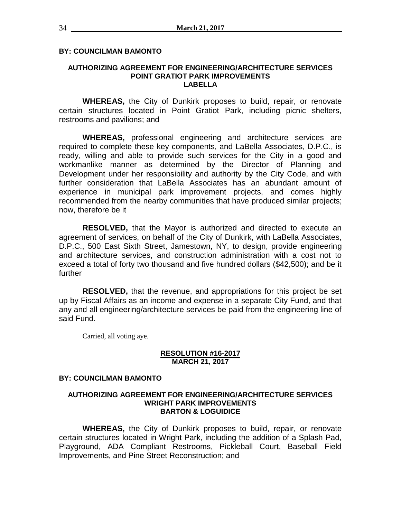# **BY: COUNCILMAN BAMONTO**

### **AUTHORIZING AGREEMENT FOR ENGINEERING/ARCHITECTURE SERVICES POINT GRATIOT PARK IMPROVEMENTS LABELLA**

**WHEREAS,** the City of Dunkirk proposes to build, repair, or renovate certain structures located in Point Gratiot Park, including picnic shelters, restrooms and pavilions; and

**WHEREAS,** professional engineering and architecture services are required to complete these key components, and LaBella Associates, D.P.C., is ready, willing and able to provide such services for the City in a good and workmanlike manner as determined by the Director of Planning and Development under her responsibility and authority by the City Code, and with further consideration that LaBella Associates has an abundant amount of experience in municipal park improvement projects, and comes highly recommended from the nearby communities that have produced similar projects; now, therefore be it

**RESOLVED,** that the Mayor is authorized and directed to execute an agreement of services, on behalf of the City of Dunkirk, with LaBella Associates, D.P.C., 500 East Sixth Street, Jamestown, NY, to design, provide engineering and architecture services, and construction administration with a cost not to exceed a total of forty two thousand and five hundred dollars (\$42,500); and be it further

**RESOLVED,** that the revenue, and appropriations for this project be set up by Fiscal Affairs as an income and expense in a separate City Fund, and that any and all engineering/architecture services be paid from the engineering line of said Fund.

Carried, all voting aye.

### **RESOLUTION #16-2017 MARCH 21, 2017**

# **BY: COUNCILMAN BAMONTO**

### **AUTHORIZING AGREEMENT FOR ENGINEERING/ARCHITECTURE SERVICES WRIGHT PARK IMPROVEMENTS BARTON & LOGUIDICE**

**WHEREAS,** the City of Dunkirk proposes to build, repair, or renovate certain structures located in Wright Park, including the addition of a Splash Pad, Playground, ADA Compliant Restrooms, Pickleball Court, Baseball Field Improvements, and Pine Street Reconstruction; and